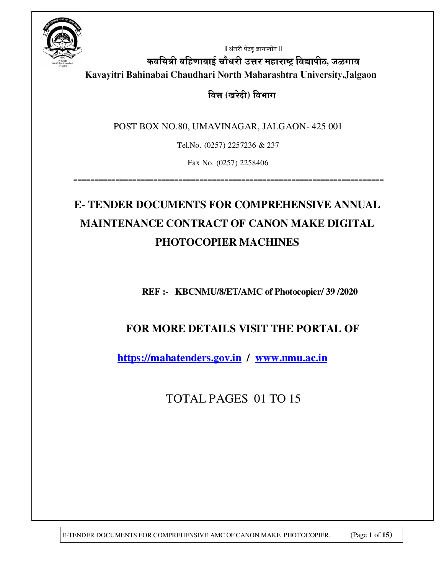

 $\parallel$  अंतरी पेटवू ज्ञानज्योत  $\parallel$ 

कवयित्री बहिणाबाई चौधरी उत्तर महाराष्ट्र विद्यापीठ, जळगाव **Kavayitri Bahinabai Chaudhari North Maharashtra University,Jalgaon** 

<u>वित्त (खरेदी) विभाग</u>

POST BOX NO.80, UMAVINAGAR, JALGAON- 425 001

Tel.No. (0257) 2257236 & 237

Fax No. (0257) 2258406

==========================================================================

# **E- TENDER DOCUMENTS FOR COMPREHENSIVE ANNUAL MAINTENANCE CONTRACT OF CANON MAKE DIGITAL PHOTOCOPIER MACHINES**

**REF :- KBCNMU/8/ET/AMC of Photocopier/ 39 /2020** 

## **FOR MORE DETAILS VISIT THE PORTAL OF**

**https://mahatenders.gov.in / www.nmu.ac.in**

TOTAL PAGES 01 TO 15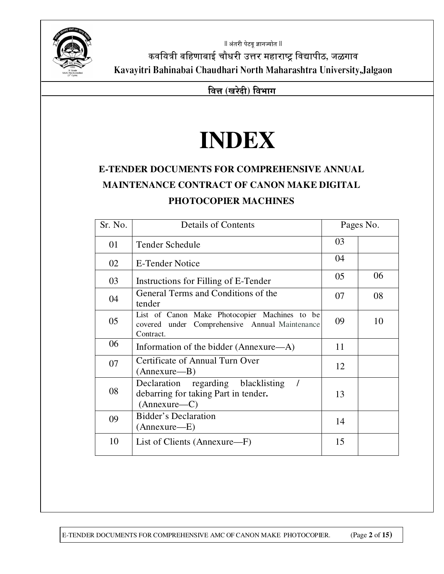

 $\parallel$  अंतरी पेटवू ज्ञानज्योत  $\parallel$ कवयित्री बहिणाबाई चौधरी उत्तर महाराष्ट्र विद्यापीठ, जळगाव **Kavayitri Bahinabai Chaudhari North Maharashtra University,Jalgaon** 

**बित्त (खरेदी) विभाग** 

# **INDEX**

## **E-TENDER DOCUMENTS FOR COMPREHENSIVE ANNUAL MAINTENANCE CONTRACT OF CANON MAKE DIGITAL PHOTOCOPIER MACHINES**

| Sr. No. | <b>Details of Contents</b>                                                                                   |    | Pages No. |  |
|---------|--------------------------------------------------------------------------------------------------------------|----|-----------|--|
| 01      | Tender Schedule                                                                                              | 03 |           |  |
| 02      | <b>E-Tender Notice</b>                                                                                       | 04 |           |  |
| 03      | Instructions for Filling of E-Tender                                                                         | 05 | 06        |  |
| 04      | General Terms and Conditions of the<br>tender                                                                | 07 | 08        |  |
| 05      | List of Canon Make Photocopier Machines to be<br>covered under Comprehensive Annual Maintenance<br>Contract. | 09 | 10        |  |
| 06      | Information of the bidder (Annexure—A)                                                                       | 11 |           |  |
| 07      | Certificate of Annual Turn Over<br>(Annexure—B)                                                              | 12 |           |  |
| 08      | Declaration regarding blacklisting<br>debarring for taking Part in tender.<br>(Annexure—C)                   | 13 |           |  |
| 09      | <b>Bidder's Declaration</b><br>(Annexure—E)                                                                  | 14 |           |  |
| 10      | List of Clients (Annexure—F)                                                                                 | 15 |           |  |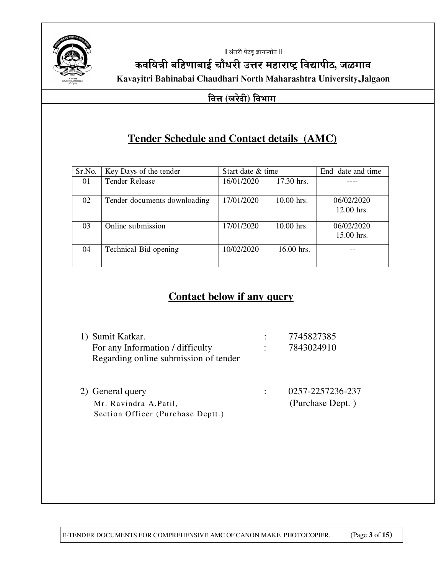

 $\parallel$  अंतरी पेटवू ज्ञानज्योत  $\parallel$ 

कवयित्री बहिणाबाई चौधरी उत्तर महाराष्ट्र विद्यापीठ, जळगाव **Kavayitri Bahinabai Chaudhari North Maharashtra University,Jalgaon** 

#### **बित्त (खरेदी) विभाग**

## **Tender Schedule and Contact details (AMC)**

| Sr.No. | Key Days of the tender       | Start date & time |              | End date and time          |
|--------|------------------------------|-------------------|--------------|----------------------------|
| 01     | <b>Tender Release</b>        | 16/01/2020        | 17.30 hrs.   |                            |
| 02     | Tender documents downloading | 17/01/2020        | $10.00$ hrs. | 06/02/2020<br>$12.00$ hrs. |
| 03     | Online submission            | 17/01/2020        | 10.00 hrs.   | 06/02/2020<br>15.00 hrs.   |
| 04     | Technical Bid opening        | 10/02/2020        | 16.00 hrs.   |                            |

## **Contact below if any query**

| 1) Sumit Katkar.                      | 7745827385       |
|---------------------------------------|------------------|
| For any Information / difficulty      | 7843024910       |
| Regarding online submission of tender |                  |
|                                       |                  |
| 2) General query                      | 0257-2257236-237 |
| Mr. Ravindra A.Patil,                 | (Purchase Dept.) |
| Section Officer (Purchase Deptt.)     |                  |

E-TENDER DOCUMENTS FOR COMPREHENSIVE AMC OF CANON MAKE PHOTOCOPIER. (Page **3** of **15)**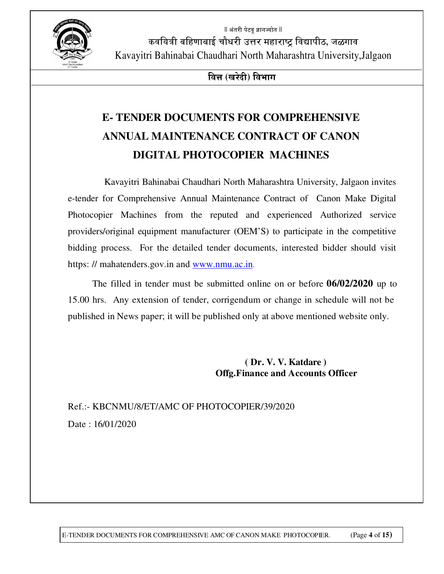$\parallel$  अंतरी पेटव ज्ञानज्योत  $\parallel$ 



कवयित्री बहिणाबाई चौधरी उत्तर महाराष्ट्र विद्यापीठ, जळगाव Kavayitri Bahinabai Chaudhari North Maharashtra University,Jalgaon

**बित्त (खरेदी) विभाग** 

# **E- TENDER DOCUMENTS FOR COMPREHENSIVE ANNUAL MAINTENANCE CONTRACT OF CANON DIGITAL PHOTOCOPIER MACHINES**

 Kavayitri Bahinabai Chaudhari North Maharashtra University, Jalgaon invites e-tender for Comprehensive Annual Maintenance Contract of Canon Make Digital Photocopier Machines from the reputed and experienced Authorized service providers/original equipment manufacturer (OEM'S) to participate in the competitive bidding process. For the detailed tender documents, interested bidder should visit https: // mahatenders.gov.in and www.nmu.ac.in.

The filled in tender must be submitted online on or before **06/02/2020** up to 15.00 hrs. Any extension of tender, corrigendum or change in schedule will not be published in News paper; it will be published only at above mentioned website only.

> **( Dr. V. V. Katdare ) Offg.Finance and Accounts Officer**

## Ref.:- KBCNMU/8/ET/AMC OF PHOTOCOPIER/39/2020 Date : 16/01/2020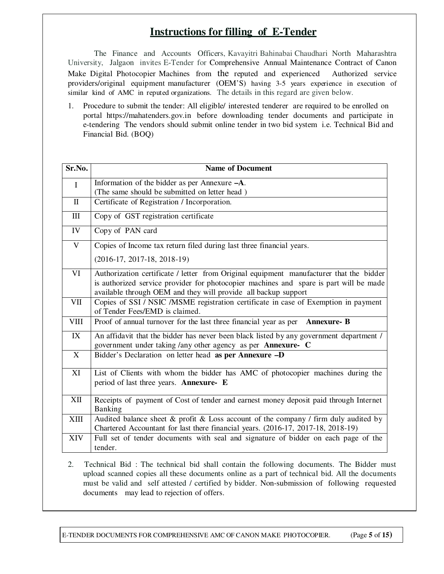## **Instructions for filling of E-Tender**

The Finance and Accounts Officers, Kavayitri Bahinabai Chaudhari North Maharashtra University, Jalgaon invites E-Tender for Comprehensive Annual Maintenance Contract of Canon Make Digital Photocopier Machines from the reputed and experienced Authorized service providers/original equipment manufacturer (OEM'S) having 3-5 years experience in execution of similar kind of AMC in reputed organizations. The details in this regard are given below.

1. Procedure to submit the tender: All eligible/ interested tenderer are required to be enrolled on portal https://mahatenders.gov.in before downloading tender documents and participate in e-tendering The vendors should submit online tender in two bid system i.e. Technical Bid and Financial Bid. (BOQ)

| Sr.No.       | <b>Name of Document</b>                                                                                                                                                                                                                             |
|--------------|-----------------------------------------------------------------------------------------------------------------------------------------------------------------------------------------------------------------------------------------------------|
| $\mathbf I$  | Information of the bidder as per Annexure $-A$ .<br>(The same should be submitted on letter head)                                                                                                                                                   |
| $\mathbf{I}$ | Certificate of Registration / Incorporation.                                                                                                                                                                                                        |
| III          | Copy of GST registration certificate                                                                                                                                                                                                                |
| IV           | Copy of PAN card                                                                                                                                                                                                                                    |
| $\mathbf V$  | Copies of Income tax return filed during last three financial years.                                                                                                                                                                                |
|              | $(2016-17, 2017-18, 2018-19)$                                                                                                                                                                                                                       |
| VI           | Authorization certificate / letter from Original equipment manufacturer that the bidder<br>is authorized service provider for photocopier machines and spare is part will be made<br>available through OEM and they will provide all backup support |
| VII          | Copies of SSI / NSIC / MSME registration certificate in case of Exemption in payment<br>of Tender Fees/EMD is claimed.                                                                                                                              |
| <b>VIII</b>  | Proof of annual turnover for the last three financial year as per<br><b>Annexure-B</b>                                                                                                                                                              |
| IX           | An affidavit that the bidder has never been black listed by any government department /<br>government under taking /any other agency as per Annexure- C                                                                                             |
| X            | Bidder's Declaration on letter head as per Annexure -D                                                                                                                                                                                              |
| XI           | List of Clients with whom the bidder has AMC of photocopier machines during the<br>period of last three years. Annexure- E                                                                                                                          |
| XII          | Receipts of payment of Cost of tender and earnest money deposit paid through Internet<br>Banking                                                                                                                                                    |
| <b>XIII</b>  | Audited balance sheet & profit & Loss account of the company / firm duly audited by<br>Chartered Accountant for last there financial years. (2016-17, 2017-18, 2018-19)                                                                             |
| XIV          | Full set of tender documents with seal and signature of bidder on each page of the<br>tender.                                                                                                                                                       |

2. Technical Bid : The technical bid shall contain the following documents. The Bidder must upload scanned copies all these documents online as a part of technical bid. All the documents must be valid and self attested / certified by bidder. Non-submission of following requested documents may lead to rejection of offers.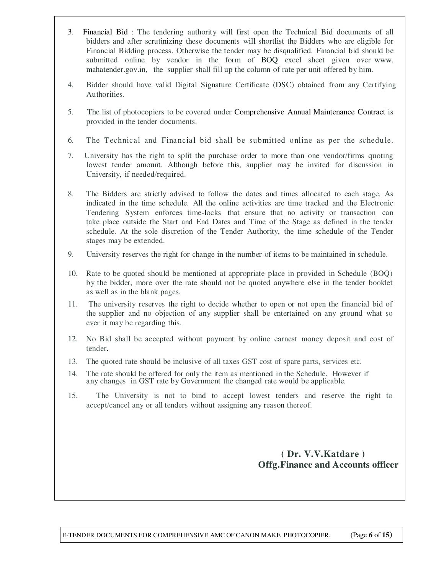- 3. Financial Bid : The tendering authority will first open the Technical Bid documents of all bidders and after scrutinizing these documents will shortlist the Bidders who are eligible for Financial Bidding process. Otherwise the tender may be disqualified. Financial bid should be submitted online by vendor in the form of BOQ excel sheet given over www. mahatender.gov.in, the supplier shall fill up the column of rate per unit offered by him.
- 4. Bidder should have valid Digital Signature Certificate (DSC) obtained from any Certifying Authorities.
- 5. The list of photocopiers to be covered under Comprehensive Annual Maintenance Contract is provided in the tender documents.
- 6. The Technical and Financial bid shall be submitted online as per the schedule.
- 7. University has the right to split the purchase order to more than one vendor/firms quoting lowest tender amount. Although before this, supplier may be invited for discussion in University, if needed/required.
- 8. The Bidders are strictly advised to follow the dates and times allocated to each stage. As indicated in the time schedule. All the online activities are time tracked and the Electronic Tendering System enforces time-locks that ensure that no activity or transaction can take place outside the Start and End Dates and Time of the Stage as defined in the tender schedule. At the sole discretion of the Tender Authority, the time schedule of the Tender stages may be extended.
- 9. University reserves the right for change in the number of items to be maintained in schedule.
- 10. Rate to be quoted should be mentioned at appropriate place in provided in Schedule (BOQ) by the bidder, more over the rate should not be quoted anywhere else in the tender booklet as well as in the blank pages.
- 11. The university reserves the right to decide whether to open or not open the financial bid of the supplier and no objection of any supplier shall be entertained on any ground what so ever it may be regarding this.
- 12. No Bid shall be accepted without payment by online earnest money deposit and cost of tender.
- 13. The quoted rate should be inclusive of all taxes GST cost of spare parts, services etc.
- 14. The rate should be offered for only the item as mentioned in the Schedule. However if any changes in GST rate by Government the changed rate would be applicable.
- 15. The University is not to bind to accept lowest tenders and reserve the right to accept/cancel any or all tenders without assigning any reason thereof.

 **( Dr. V.V.Katdare ) Offg.Finance and Accounts officer**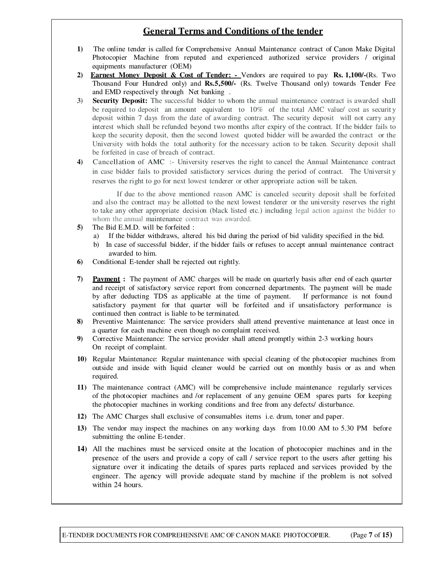#### **General Terms and Conditions of the tender**

- **1)** The online tender is called for Comprehensive Annual Maintenance contract of Canon Make Digital Photocopier Machine from reputed and experienced authorized service providers / original equipments manufacturer (OEM)
- **2) Earnest Money Deposit & Cost of Tender:** Vendors are required to pay **Rs. 1,100/-(**Rs. Two Thousand Four Hundred only) and **Rs.5,500/-** (Rs. Twelve Thousand only) towards Tender Fee and EMD respectively through Net banking .
- **3) Security Deposit:** The successful bidder to whom the annual maintenance contract is awarded shall be required to deposit an amount equivalent to 10% of the total AMC value/ cost as security deposit within 7 days from the date of awarding contract. The security deposit will not carry any interest which shall be refunded beyond two months after expiry of the contract. If the bidder fails to keep the security deposit, then the second lowest quoted bidder will be awarded the contract or the University with holds the total authority for the necessary action to be taken. Security deposit shall be forfeited in case of breach of contract.
- **4)** Cancellation of AMC :- University reserves the right to cancel the Annual Maintenance contract in case bidder fails to provided satisfactory services during the period of contract. The Universit y reserves the right to go for next lowest tenderer or other appropriate action will be taken.

If due to the above mentioned reason AMC is canceled security deposit shall be forfeited and also the contract may be allotted to the next lowest tenderer or the university reserves the right to take any other appropriate decision (black listed etc.) including legal action against the bidder to whom the annual maintenance contract was awarded.

- **5)** The Bid E.M.D. will be forfeited :
	- a) If the bidder withdraws, altered his bid during the period of bid validity specified in the bid.
	- b) In case of successful bidder, if the bidder fails or refuses to accept annual maintenance contract awarded to him.
- **6)** Conditional E-tender shall be rejected out rightly.
- **7) Payment :** The payment of AMC charges will be made on quarterly basis after end of each quarter and receipt of satisfactory service report from concerned departments. The payment will be made by after deducting TDS as applicable at the time of payment. If performance is not found satisfactory payment for that quarter will be forfeited and if unsatisfactory performance is continued then contract is liable to be terminated.
- **8)** Preventive Maintenance: The service providers shall attend preventive maintenance at least once in a quarter for each machine even though no complaint received.
- **9)** Corrective Maintenance: The service provider shall attend promptly within 2-3 working hours On receipt of complaint.
- **10)** Regular Maintenance: Regular maintenance with special cleaning of the photocopier machines from outside and inside with liquid cleaner would be carried out on monthly basis or as and when required.
- **11)** The maintenance contract (AMC) will be comprehensive include maintenance regularly services of the photocopier machines and /or replacement of any genuine OEM spares parts for keeping the photocopier machines in working conditions and free from any defects/ disturbance.
- **12)** The AMC Charges shall exclusive of consumables items i.e. drum, toner and paper.
- **13)** The vendor may inspect the machines on any working days from 10.00 AM to 5.30 PM before submitting the online E-tender.
- **14)** All the machines must be serviced onsite at the location of photocopier machines and in the presence of the users and provide a copy of call / service report to the users after getting his signature over it indicating the details of spares parts replaced and services provided by the engineer. The agency will provide adequate stand by machine if the problem is not solved within 24 hours.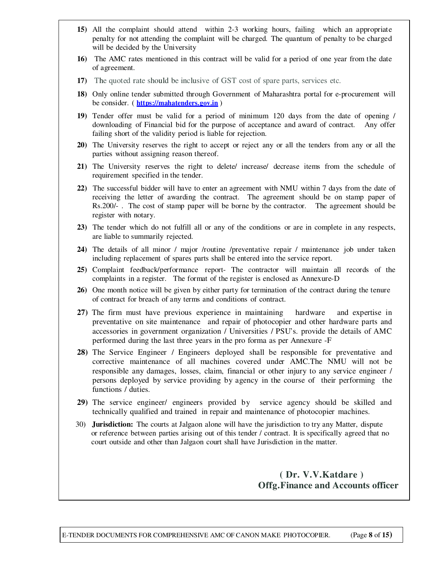- **15)** All the complaint should attend within 2-3 working hours, failing which an appropriate penalty for not attending the complaint will be charged. The quantum of penalty to be charged will be decided by the University
- **16)** The AMC rates mentioned in this contract will be valid for a period of one year from the date of agreement.
- **17)** The quoted rate should be inclusive of GST cost of spare parts, services etc.
- **18)** Only online tender submitted through Government of Maharashtra portal for e-procurement will be consider. ( **https://mahatenders.gov.in** )
- **19)** Tender offer must be valid for a period of minimum 120 days from the date of opening / downloading of Financial bid for the purpose of acceptance and award of contract. Any offer failing short of the validity period is liable for rejection.
- **20)** The University reserves the right to accept or reject any or all the tenders from any or all the parties without assigning reason thereof.
- **21)** The University reserves the right to delete/ increase/ decrease items from the schedule of requirement specified in the tender.
- **22)** The successful bidder will have to enter an agreement with NMU within 7 days from the date of receiving the letter of awarding the contract. The agreement should be on stamp paper of Rs.200/- . The cost of stamp paper will be borne by the contractor. The agreement should be register with notary.
- **23)** The tender which do not fulfill all or any of the conditions or are in complete in any respects, are liable to summarily rejected.
- **24)** The details of all minor / major /routine /preventative repair / maintenance job under taken including replacement of spares parts shall be entered into the service report.
- **25)** Complaint feedback/performance report- The contractor will maintain all records of the complaints in a register. The format of the register is enclosed as Annexure-D
- **26)** One month notice will be given by either party for termination of the contract during the tenure of contract for breach of any terms and conditions of contract.
- **27)** The firm must have previous experience in maintaining hardware and expertise in preventative on site maintenance and repair of photocopier and other hardware parts and accessories in government organization / Universities / PSU's. provide the details of AMC performed during the last three years in the pro forma as per Annexure -F
- **28)** The Service Engineer / Engineers deployed shall be responsible for preventative and corrective maintenance of all machines covered under AMC.The NMU will not be responsible any damages, losses, claim, financial or other injury to any service engineer / persons deployed by service providing by agency in the course of their performing the functions / duties.
- **29)** The service engineer/ engineers provided by service agency should be skilled and technically qualified and trained in repair and maintenance of photocopier machines.
- 30) **Jurisdiction:** The courts at Jalgaon alone will have the jurisdiction to try any Matter, dispute or reference between parties arising out of this tender / contract. It is specifically agreed that no court outside and other than Jalgaon court shall have Jurisdiction in the matter.

 **( Dr. V.V.Katdare ) Offg.Finance and Accounts officer**

E-TENDER DOCUMENTS FOR COMPREHENSIVE AMC OF CANON MAKE PHOTOCOPIER. (Page **8** of **15)**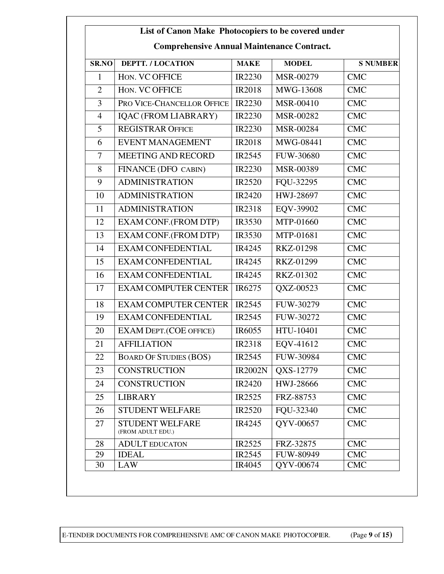## **List of Canon Make Photocopiers to be covered under**

| <b>Comprehensive Annual Maintenance Contract.</b> |
|---------------------------------------------------|
|---------------------------------------------------|

| <b>SR.NO</b>   | <b>DEPTT. / LOCATION</b>                    | <b>MAKE</b>        | <b>MODEL</b>     | <b>S NUMBER</b> |
|----------------|---------------------------------------------|--------------------|------------------|-----------------|
| $\mathbf{1}$   | HON. VC OFFICE                              | IR2230             | MSR-00279        | <b>CMC</b>      |
| $\overline{2}$ | HON. VC OFFICE                              | <b>IR2018</b>      | MWG-13608        | <b>CMC</b>      |
| 3              | PRO VICE-CHANCELLOR OFFICE                  | IR2230             | MSR-00410        | <b>CMC</b>      |
| $\overline{4}$ | IQAC (FROM LIABRARY)                        | IR2230             | MSR-00282        | <b>CMC</b>      |
| 5              | <b>REGISTRAR OFFICE</b>                     | IR2230             | MSR-00284        | <b>CMC</b>      |
| 6              | <b>EVENT MANAGEMENT</b>                     | <b>IR2018</b>      | MWG-08441        | <b>CMC</b>      |
| 7              | <b>MEETING AND RECORD</b>                   | IR2545             | <b>FUW-30680</b> | <b>CMC</b>      |
| 8              | FINANCE (DFO CABIN)                         | IR2230             | MSR-00389        | <b>CMC</b>      |
| 9              | <b>ADMINISTRATION</b>                       | <b>IR2520</b>      | FQU-32295        | <b>CMC</b>      |
| 10             | <b>ADMINISTRATION</b>                       | IR2420             | HWJ-28697        | <b>CMC</b>      |
| 11             | <b>ADMINISTRATION</b>                       | <b>IR2318</b>      | EQV-39902        | <b>CMC</b>      |
| 12             | EXAM CONF.(FROM DTP)                        | IR3530             | MTP-01660        | <b>CMC</b>      |
| 13             | EXAM CONF.(FROM DTP)                        | <b>IR3530</b>      | MTP-01681        | <b>CMC</b>      |
| 14             | <b>EXAM CONFEDENTIAL</b>                    | IR4245             | <b>RKZ-01298</b> | <b>CMC</b>      |
| 15             | EXAM CONFEDENTIAL                           | IR4245             | RKZ-01299        | <b>CMC</b>      |
| 16             | <b>EXAM CONFEDENTIAL</b>                    | IR4245             | RKZ-01302        | <b>CMC</b>      |
| 17             | <b>EXAM COMPUTER CENTER</b>                 | IR6275             | QXZ-00523        | <b>CMC</b>      |
| 18             | <b>EXAM COMPUTER CENTER</b>                 | IR2545             | FUW-30279        | <b>CMC</b>      |
| 19             | <b>EXAM CONFEDENTIAL</b>                    | IR2545             | FUW-30272        | <b>CMC</b>      |
| 20             | <b>EXAM DEPT.(COE OFFICE)</b>               | IR <sub>6055</sub> | HTU-10401        | <b>CMC</b>      |
| 21             | <b>AFFILIATION</b>                          | IR2318             | EQV-41612        | <b>CMC</b>      |
| 22             | <b>BOARD OF STUDIES (BOS)</b>               | IR <sub>2545</sub> | FUW-30984        | <b>CMC</b>      |
| 23             | <b>CONSTRUCTION</b>                         | <b>IR2002N</b>     | QXS-12779        | <b>CMC</b>      |
| 24             | <b>CONSTRUCTION</b>                         | IR2420             | HWJ-28666        | CMC             |
| 25             | <b>LIBRARY</b>                              | IR2525             | FRZ-88753        | <b>CMC</b>      |
| 26             | <b>STUDENT WELFARE</b>                      | <b>IR2520</b>      | FQU-32340        | <b>CMC</b>      |
| 27             | <b>STUDENT WELFARE</b><br>(FROM ADULT EDU.) | IR4245             | OYV-00657        | <b>CMC</b>      |
| 28             | <b>ADULT EDUCATON</b>                       | IR2525             | FRZ-32875        | <b>CMC</b>      |
| 29             | <b>IDEAL</b>                                | IR2545             | FUW-80949        | <b>CMC</b>      |
| 30             | <b>LAW</b>                                  | IR4045             | QYV-00674        | <b>CMC</b>      |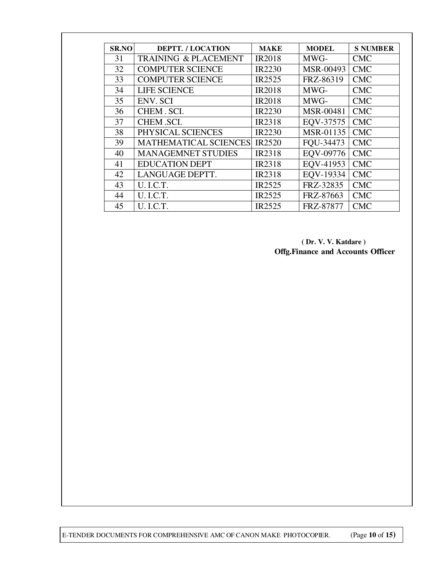| <b>SR.NO</b> | <b>DEPTT. / LOCATION</b>        | <b>MAKE</b>        | <b>MODEL</b>     | <b>S NUMBER</b> |
|--------------|---------------------------------|--------------------|------------------|-----------------|
| 31           | <b>TRAINING &amp; PLACEMENT</b> | <b>IR2018</b>      | MWG-             | <b>CMC</b>      |
| 32           | <b>COMPUTER SCIENCE</b>         | <b>IR2230</b>      | MSR-00493        | <b>CMC</b>      |
| 33           | <b>COMPUTER SCIENCE</b>         | IR <sub>2525</sub> | FRZ-86319        | <b>CMC</b>      |
| 34           | <b>LIFE SCIENCE</b>             | <b>IR2018</b>      | MWG-             | <b>CMC</b>      |
| 35           | <b>ENV. SCI</b>                 | <b>IR2018</b>      | MWG-             | <b>CMC</b>      |
| 36           | CHEM. SCI.                      | <b>IR2230</b>      | <b>MSR-00481</b> | <b>CMC</b>      |
| 37           | CHEM .SCI.                      | <b>IR2318</b>      | EQV-37575        | <b>CMC</b>      |
| 38           | PHYSICAL SCIENCES               | <b>IR2230</b>      | MSR-01135        | <b>CMC</b>      |
| 39           | <b>MATHEMATICAL SCIENCES</b>    | <b>IR2520</b>      | FQU-34473        | <b>CMC</b>      |
| 40           | <b>MANAGEMNET STUDIES</b>       | <b>IR2318</b>      | EQV-09776        | <b>CMC</b>      |
| 41           | <b>EDUCATION DEPT</b>           | <b>IR2318</b>      | EQV-41953        | <b>CMC</b>      |
| 42           | LANGUAGE DEPTT.                 | IR <sub>2318</sub> | EQV-19334        | <b>CMC</b>      |
| 43           | <b>U.I.C.T.</b>                 | IR <sub>2525</sub> | FRZ-32835        | <b>CMC</b>      |
| 44           | <b>U.I.C.T.</b>                 | IR <sub>2525</sub> | FRZ-87663        | <b>CMC</b>      |
| 45           | <b>U.I.C.T.</b>                 | <b>IR2525</b>      | FRZ-87877        | <b>CMC</b>      |

 **( Dr. V. V. Katdare ) Offg.Finance and Accounts Officer**

E-TENDER DOCUMENTS FOR COMPREHENSIVE AMC OF CANON MAKE PHOTOCOPIER. (Page **10** of **15)**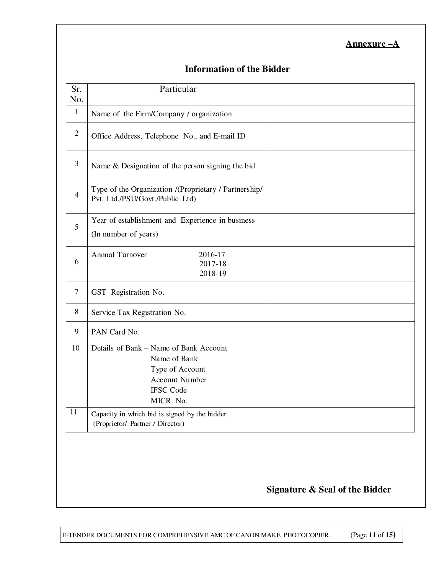#### **Annexure –A**

#### **Information of the Bidder**

| Sr.<br>No.      | Particular                                                                                                                  |  |
|-----------------|-----------------------------------------------------------------------------------------------------------------------------|--|
| $\mathbf{1}$    | Name of the Firm/Company / organization                                                                                     |  |
| $\overline{2}$  | Office Address, Telephone No., and E-mail ID                                                                                |  |
| 3               | Name & Designation of the person signing the bid                                                                            |  |
| $\overline{4}$  | Type of the Organization /(Proprietary / Partnership/<br>Pvt. Ltd./PSU/Govt./Public Ltd)                                    |  |
| 5               | Year of establishment and Experience in business<br>(In number of years)                                                    |  |
| 6               | Annual Turnover<br>2016-17<br>2017-18<br>2018-19                                                                            |  |
| $7\phantom{.0}$ | GST Registration No.                                                                                                        |  |
| 8               | Service Tax Registration No.                                                                                                |  |
| 9               | PAN Card No.                                                                                                                |  |
| 10              | Details of Bank – Name of Bank Account<br>Name of Bank<br>Type of Account<br>Account Number<br><b>IFSC Code</b><br>MICR No. |  |
| 11              | Capacity in which bid is signed by the bidder<br>(Proprietor/ Partner / Director)                                           |  |
|                 |                                                                                                                             |  |

#### **Signature & Seal of the Bidder**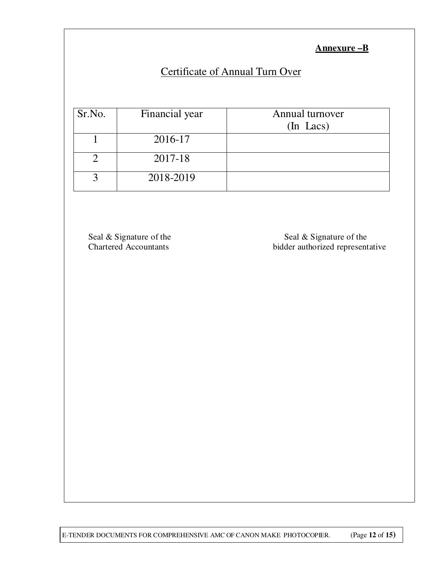**Annexure –B**

## Certificate of Annual Turn Over

| Sr.No. | Financial year | Annual turnover<br>$(In$ Lacs) |
|--------|----------------|--------------------------------|
|        | 2016-17        |                                |
|        | 2017-18        |                                |
|        | 2018-2019      |                                |

Seal & Signature of the Seal & Signature of the Seal & Signature of the Chartered Accountants bidder authorized representative

E-TENDER DOCUMENTS FOR COMPREHENSIVE AMC OF CANON MAKE PHOTOCOPIER. (Page **12** of **15)**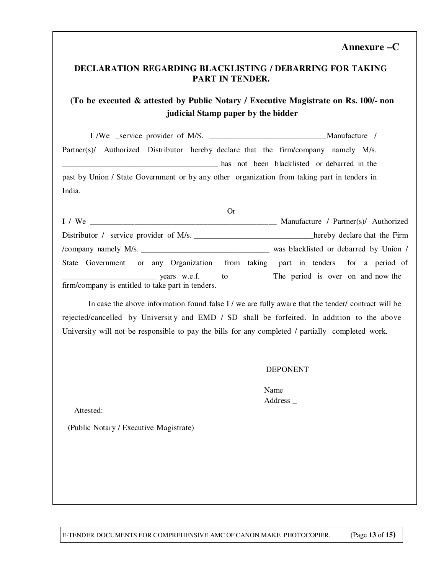#### **Annexure –C**

#### **DECLARATION REGARDING BLACKLISTING / DEBARRING FOR TAKING PART IN TENDER.**

#### **(To be executed & attested by Public Notary / Executive Magistrate on Rs. 100/- non judicial Stamp paper by the bidder**

 I /We \_service provider of M/S. \_\_\_\_\_\_\_\_\_\_\_\_\_\_\_\_\_\_\_\_\_\_\_\_\_\_\_\_\_Manufacture / Partner(s)/ Authorized Distributor hereby declare that the firm/company namely M/s. \_\_\_\_\_\_\_\_\_\_\_\_\_\_\_\_\_\_\_\_\_\_\_\_\_\_\_\_\_\_\_\_\_\_\_\_\_\_\_ has not been blacklisted or debarred in the past by Union / State Government or by any other organization from taking part in tenders in India.

|                                                                                  | <b>Or</b>                              |                                      |
|----------------------------------------------------------------------------------|----------------------------------------|--------------------------------------|
| I / We                                                                           |                                        | Manufacture / Partner(s)/ Authorized |
| Distributor / service provider of M/s.                                           |                                        | hereby declare that the Firm         |
|                                                                                  | was blacklisted or debarred by Union / |                                      |
| State Government or any Organization from taking part in tenders for a period of |                                        |                                      |
| $\frac{1}{100}$ years w.e.f. to                                                  |                                        | The period is over on and now the    |
| firm/company is entitled to take part in tenders.                                |                                        |                                      |

In case the above information found false I / we are fully aware that the tender/ contract will be rejected/cancelled by University and EMD / SD shall be forfeited. In addition to the above University will not be responsible to pay the bills for any completed / partially completed work.

#### DEPONENT

Name Address \_

Attested:

(Public Notary / Executive Magistrate)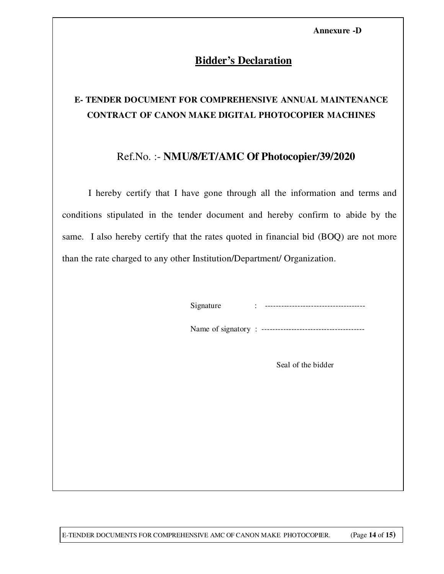**Annexure -D**

#### **Bidder's Declaration**

## **E- TENDER DOCUMENT FOR COMPREHENSIVE ANNUAL MAINTENANCE CONTRACT OF CANON MAKE DIGITAL PHOTOCOPIER MACHINES**

#### Ref.No. :- **NMU/8/ET/AMC Of Photocopier/39/2020**

I hereby certify that I have gone through all the information and terms and conditions stipulated in the tender document and hereby confirm to abide by the same. I also hereby certify that the rates quoted in financial bid (BOQ) are not more than the rate charged to any other Institution/Department/ Organization.

Signature : -------------------------------------

Name of signatory : --------------------------------------

Seal of the bidder

E-TENDER DOCUMENTS FOR COMPREHENSIVE AMC OF CANON MAKE PHOTOCOPIER. (Page **14** of **15)**